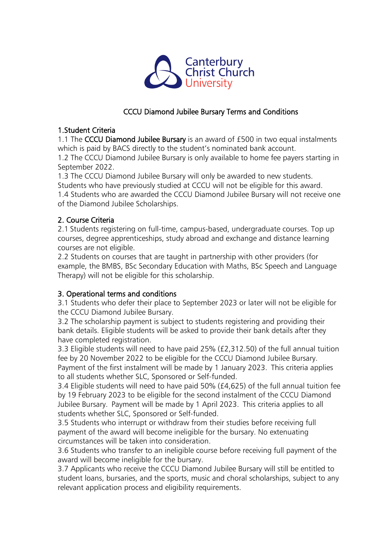

## CCCU Diamond Jubilee Bursary Terms and Conditions

## 1.Student Criteria

1.1 The CCCU Diamond Jubilee Bursary is an award of £500 in two equal instalments which is paid by BACS directly to the student's nominated bank account.

1.2 The CCCU Diamond Jubilee Bursary is only available to home fee payers starting in September 2022.

1.3 The CCCU Diamond Jubilee Bursary will only be awarded to new students. Students who have previously studied at CCCU will not be eligible for this award.

1.4 Students who are awarded the CCCU Diamond Jubilee Bursary will not receive one of the Diamond Jubilee Scholarships.

## 2. Course Criteria

2.1 Students registering on full-time, campus-based, undergraduate courses. Top up courses, degree apprenticeships, study abroad and exchange and distance learning courses are not eligible.

2.2 Students on courses that are taught in partnership with other providers (for example, the BMBS, BSc Secondary Education with Maths, BSc Speech and Language Therapy) will not be eligible for this scholarship.

## 3. Operational terms and conditions

3.1 Students who defer their place to September 2023 or later will not be eligible for the CCCU Diamond Jubilee Bursary.

3.2 The scholarship payment is subject to students registering and providing their bank details. Eligible students will be asked to provide their bank details after they have completed registration.

3.3 Eligible students will need to have paid 25% (£2,312.50) of the full annual tuition fee by 20 November 2022 to be eligible for the CCCU Diamond Jubilee Bursary. Payment of the first instalment will be made by 1 January 2023. This criteria applies to all students whether SLC, Sponsored or Self-funded.

3.4 Eligible students will need to have paid 50% (£4,625) of the full annual tuition fee by 19 February 2023 to be eligible for the second instalment of the CCCU Diamond Jubilee Bursary. Payment will be made by 1 April 2023. This criteria applies to all students whether SLC, Sponsored or Self-funded.

3.5 Students who interrupt or withdraw from their studies before receiving full payment of the award will become ineligible for the bursary. No extenuating circumstances will be taken into consideration.

3.6 Students who transfer to an ineligible course before receiving full payment of the award will become ineligible for the bursary.

3.7 Applicants who receive the CCCU Diamond Jubilee Bursary will still be entitled to student loans, bursaries, and the sports, music and choral scholarships, subject to any relevant application process and eligibility requirements.